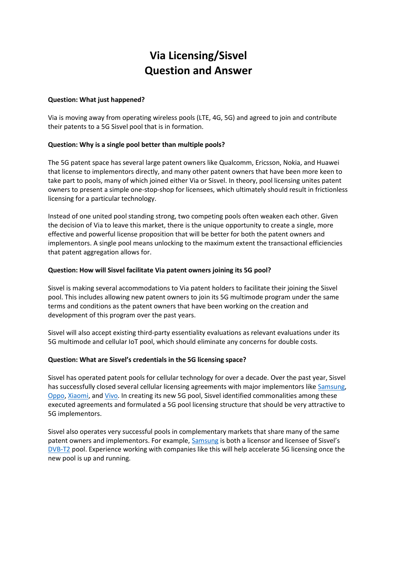# **Via Licensing/Sisvel Question and Answer**

### **Question: What just happened?**

Via is moving away from operating wireless pools (LTE, 4G, 5G) and agreed to join and contribute their patents to a 5G Sisvel pool that is in formation.

## **Question: Why is a single pool better than multiple pools?**

The 5G patent space has several large patent owners like Qualcomm, Ericsson, Nokia, and Huawei that license to implementors directly, and many other patent owners that have been more keen to take part to pools, many of which joined either Via or Sisvel. In theory, pool licensing unites patent owners to present a simple one-stop-shop for licensees, which ultimately should result in frictionless licensing for a particular technology.

Instead of one united pool standing strong, two competing pools often weaken each other. Given the decision of Via to leave this market, there is the unique opportunity to create a single, more effective and powerful license proposition that will be better for both the patent owners and implementors. A single pool means unlocking to the maximum extent the transactional efficiencies that patent aggregation allows for.

#### **Question: How will Sisvel facilitate Via patent owners joining its 5G pool?**

Sisvel is making several accommodations to Via patent holders to facilitate their joining the Sisvel pool. This includes allowing new patent owners to join its 5G multimode program under the same terms and conditions as the patent owners that have been working on the creation and development of this program over the past years.

Sisvel will also accept existing third-party essentiality evaluations as relevant evaluations under its 5G multimode and cellular IoT pool, which should eliminate any concerns for double costs.

## **Question: What are Sisvel's credentials in the 5G licensing space?**

Sisvel has operated patent pools for cellular technology for over a decade. Over the past year, Sisvel has successfully closed several cellular licensing agreements with major implementors lik[e Samsung,](https://www.sisvel.com/news-events/news/sisvel-and-samsung-agree-license-for-cellular-patents) [Oppo,](https://www.sisvel.com/news-events/news/oppo-and-dsisvel-end-standard-essential-patent-dispute-with-3g-4g-license) [Xiaomi,](https://www.sisvel.com/news-events/news-events/news/xiaomi-and-sisvel-agree-to-license-for-cellular-standard-essential-patents) and [Vivo.](https://min.news/en/tech/429a55826066131f66e0f80b4de815cc.html) In creating its new 5G pool, Sisvel identified commonalities among these executed agreements and formulated a 5G pool licensing structure that should be very attractive to 5G implementors.

Sisvel also operates very successful pools in complementary markets that share many of the same patent owners and implementors. For example[, Samsung](https://www.iam-media.com/patent-pools/sisvel-samsung-dvb-t2-patent-pool) is both a licensor and licensee of Sisvel's [DVB-T2](https://www.sisvel.com/licensing-programs/digital-video-display-technology/dvb-t2/introduction) pool. Experience working with companies like this will help accelerate 5G licensing once the new pool is up and running.